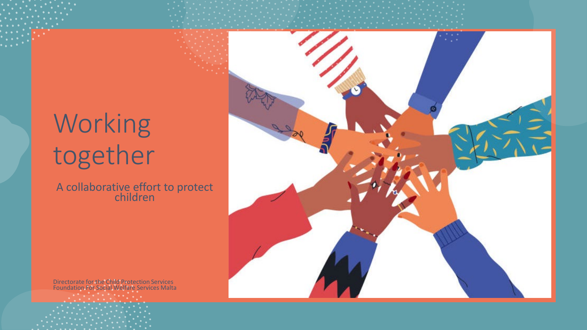### Working together

A collaborative effort to protect children

Directorate for the Child Protection Services Foundation For Social Welfare Services Malta

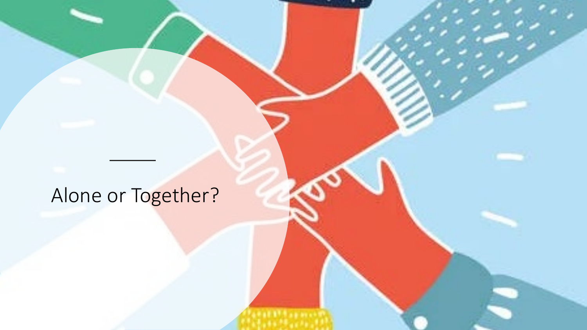#### Alone or Together?

**FRIT AB REA**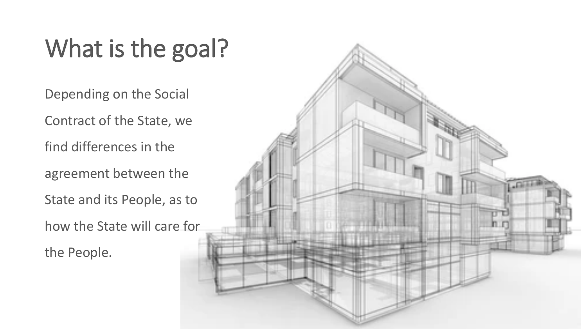#### What is the goal?

Depending on the Social

Contract of the State, we

find differences in the

agreement between the

State and its People, as to

how the State will care for the People.

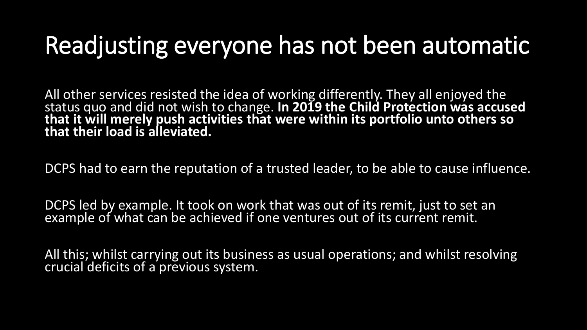#### Readjusting everyone has not been automatic

All other services resisted the idea of working differently. They all enjoyed the status quo and did not wish to change. **In 2019 the Child Protection was accused that it will merely push activities that were within its portfolio unto others so that their load is alleviated.** 

DCPS had to earn the reputation of a trusted leader, to be able to cause influence.

DCPS led by example. It took on work that was out of its remit, just to set an example of what can be achieved if one ventures out of its current remit.

All this; whilst carrying out its business as usual operations; and whilst resolving crucial deficits of a previous system.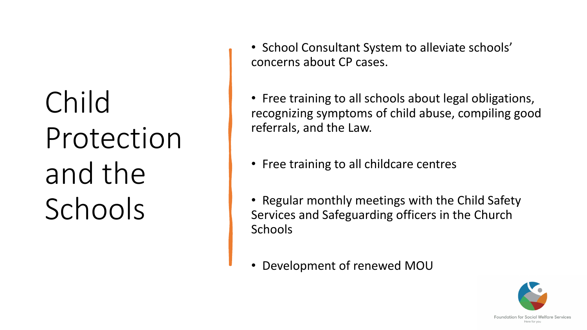# Child Protection and the Schools

• School Consultant System to alleviate schools' concerns about CP cases.

• Free training to all schools about legal obligations, recognizing symptoms of child abuse, compiling good referrals, and the Law.

- Free training to all childcare centres
- Regular monthly meetings with the Child Safety Services and Safeguarding officers in the Church **Schools**
- Development of renewed MOU

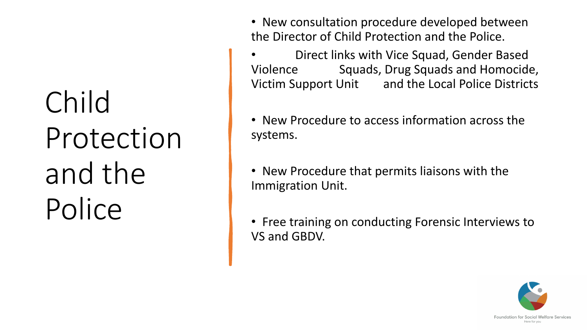# Child Protection and the Police

- New consultation procedure developed between the Director of Child Protection and the Police.
- Direct links with Vice Squad, Gender Based Violence Squads, Drug Squads and Homocide, Victim Support Unit and the Local Police Districts
- New Procedure to access information across the systems.
- New Procedure that permits liaisons with the Immigration Unit.
- Free training on conducting Forensic Interviews to VS and GBDV.

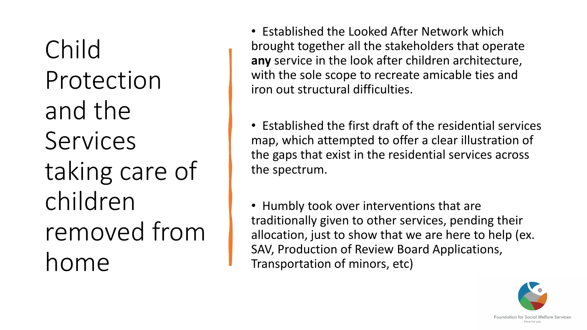Child Protection and the Services taking care of children removed from home

- Established the Looked After Network which brought together all the stakeholders that operate **any** service in the look after children architecture, with the sole scope to recreate amicable ties and iron out structural difficulties.
- Established the first draft of the residential services map, which attempted to offer a clear illustration of the gaps that exist in the residential services across the spectrum.
- Humbly took over interventions that are traditionally given to other services, pending their allocation, just to show that we are here to help (ex. SAV, Production of Review Board Applications, Transportation of minors, etc)

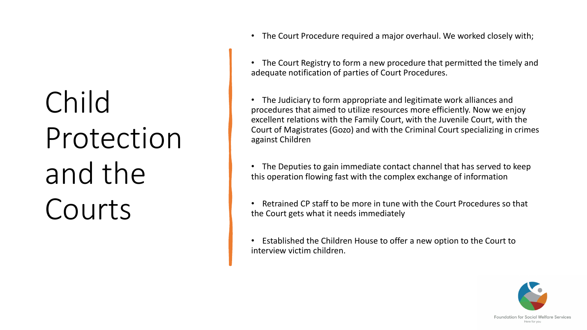# Child Protection and the Courts

• The Court Procedure required a major overhaul. We worked closely with;

• The Court Registry to form a new procedure that permitted the timely and adequate notification of parties of Court Procedures.

• The Judiciary to form appropriate and legitimate work alliances and procedures that aimed to utilize resources more efficiently. Now we enjoy excellent relations with the Family Court, with the Juvenile Court, with the Court of Magistrates (Gozo) and with the Criminal Court specializing in crimes against Children

• The Deputies to gain immediate contact channel that has served to keep this operation flowing fast with the complex exchange of information

- Retrained CP staff to be more in tune with the Court Procedures so that the Court gets what it needs immediately
- Established the Children House to offer a new option to the Court to interview victim children.

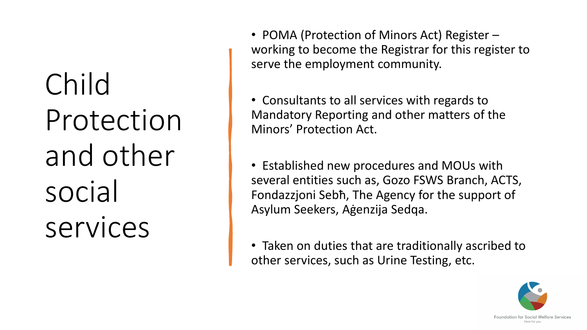Child Protection and other social services

- POMA (Protection of Minors Act) Register working to become the Registrar for this register to serve the employment community.
- Consultants to all services with regards to Mandatory Reporting and other matters of the Minors' Protection Act.
- Established new procedures and MOUs with several entities such as, Gozo FSWS Branch, ACTS, Fondazzjoni Sebħ, The Agency for the support of Asylum Seekers, Aġenzija Sedqa.
- Taken on duties that are traditionally ascribed to other services, such as Urine Testing, etc.

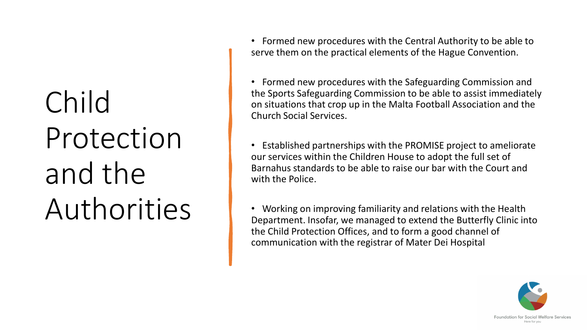# Child Protection and the Authorities

• Formed new procedures with the Central Authority to be able to serve them on the practical elements of the Hague Convention.

• Formed new procedures with the Safeguarding Commission and the Sports Safeguarding Commission to be able to assist immediately on situations that crop up in the Malta Football Association and the Church Social Services.

• Established partnerships with the PROMISE project to ameliorate our services within the Children House to adopt the full set of Barnahus standards to be able to raise our bar with the Court and with the Police.

• Working on improving familiarity and relations with the Health Department. Insofar, we managed to extend the Butterfly Clinic into the Child Protection Offices, and to form a good channel of communication with the registrar of Mater Dei Hospital

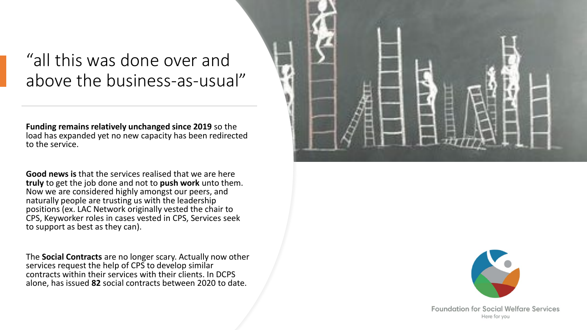#### "all this was done over and above the business-as-usual"

**Funding remains relatively unchanged since 2019** so the load has expanded yet no new capacity has been redirected to the service.

**Good news is** that the services realised that we are here **truly** to get the job done and not to **push work** unto them. Now we are considered highly amongst our peers, and naturally people are trusting us with the leadership positions (ex. LAC Network originally vested the chair to CPS, Keyworker roles in cases vested in CPS, Services seek to support as best as they can).

The **Social Contracts** are no longer scary. Actually now other services request the help of CPS to develop similar contracts within their services with their clients. In DCPS alone, has issued **82** social contracts between 2020 to date.





**Foundation for Social Welfare Services** Here for you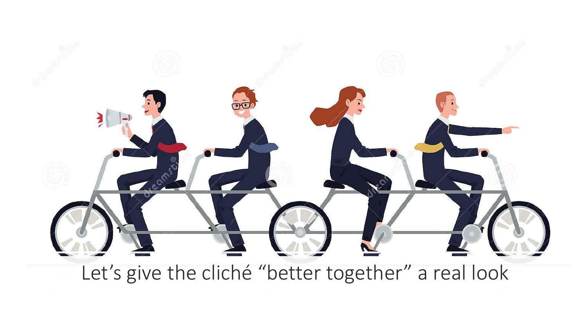

Let's give the cliché "better together" a real look